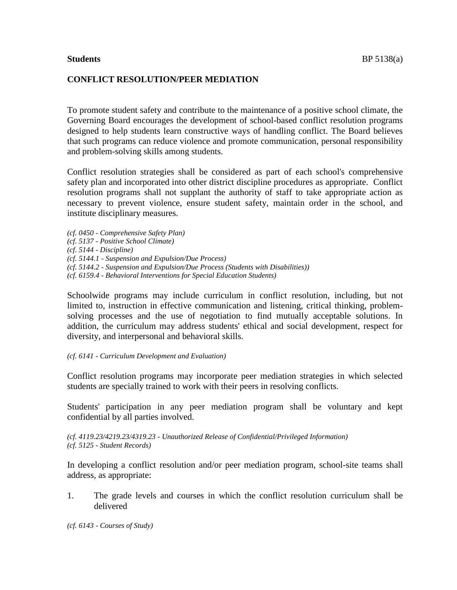# **CONFLICT RESOLUTION/PEER MEDIATION**

To promote student safety and contribute to the maintenance of a positive school climate, the Governing Board encourages the development of school-based conflict resolution programs designed to help students learn constructive ways of handling conflict. The Board believes that such programs can reduce violence and promote communication, personal responsibility and problem-solving skills among students.

Conflict resolution strategies shall be considered as part of each school's comprehensive safety plan and incorporated into other district discipline procedures as appropriate. Conflict resolution programs shall not supplant the authority of staff to take appropriate action as necessary to prevent violence, ensure student safety, maintain order in the school, and institute disciplinary measures.

*(cf. 0450 - Comprehensive Safety Plan)*

- *(cf. 5137 - Positive School Climate)*
- *(cf. 5144 - Discipline)*

*(cf. 5144.1 - Suspension and Expulsion/Due Process)*

*(cf. 5144.2 - Suspension and Expulsion/Due Process (Students with Disabilities))*

*(cf. 6159.4 - Behavioral Interventions for Special Education Students)*

Schoolwide programs may include curriculum in conflict resolution, including, but not limited to, instruction in effective communication and listening, critical thinking, problemsolving processes and the use of negotiation to find mutually acceptable solutions. In addition, the curriculum may address students' ethical and social development, respect for diversity, and interpersonal and behavioral skills.

### *(cf. 6141 - Curriculum Development and Evaluation)*

Conflict resolution programs may incorporate peer mediation strategies in which selected students are specially trained to work with their peers in resolving conflicts.

Students' participation in any peer mediation program shall be voluntary and kept confidential by all parties involved.

*(cf. 4119.23/4219.23/4319.23 - Unauthorized Release of Confidential/Privileged Information) (cf. 5125 - Student Records)*

In developing a conflict resolution and/or peer mediation program, school-site teams shall address, as appropriate:

1. The grade levels and courses in which the conflict resolution curriculum shall be delivered

*(cf. 6143 - Courses of Study)*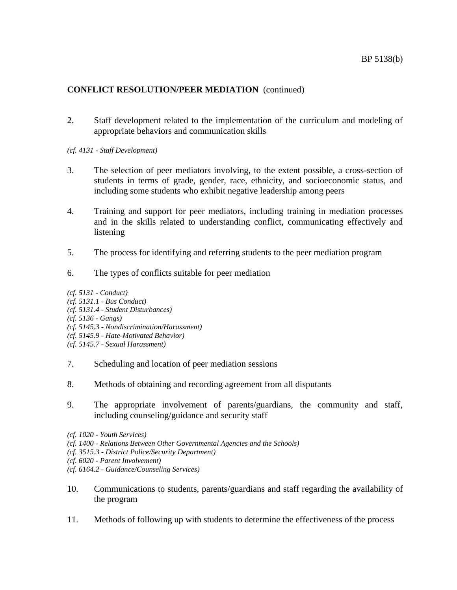# **CONFLICT RESOLUTION/PEER MEDIATION** (continued)

2. Staff development related to the implementation of the curriculum and modeling of appropriate behaviors and communication skills

*(cf. 4131 - Staff Development)*

- 3. The selection of peer mediators involving, to the extent possible, a cross-section of students in terms of grade, gender, race, ethnicity, and socioeconomic status, and including some students who exhibit negative leadership among peers
- 4. Training and support for peer mediators, including training in mediation processes and in the skills related to understanding conflict, communicating effectively and listening
- 5. The process for identifying and referring students to the peer mediation program
- 6. The types of conflicts suitable for peer mediation

*(cf. 5131 - Conduct) (cf. 5131.1 - Bus Conduct) (cf. 5131.4 - Student Disturbances) (cf. 5136 - Gangs) (cf. 5145.3 - Nondiscrimination/Harassment) (cf. 5145.9 - Hate-Motivated Behavior) (cf. 5145.7 - Sexual Harassment)*

- 7. Scheduling and location of peer mediation sessions
- 8. Methods of obtaining and recording agreement from all disputants
- 9. The appropriate involvement of parents/guardians, the community and staff, including counseling/guidance and security staff

- *(cf. 1400 - Relations Between Other Governmental Agencies and the Schools)*
- *(cf. 3515.3 - District Police/Security Department)*
- *(cf. 6020 - Parent Involvement)*
- *(cf. 6164.2 - Guidance/Counseling Services)*
- 10. Communications to students, parents/guardians and staff regarding the availability of the program
- 11. Methods of following up with students to determine the effectiveness of the process

*<sup>(</sup>cf. 1020 - Youth Services)*